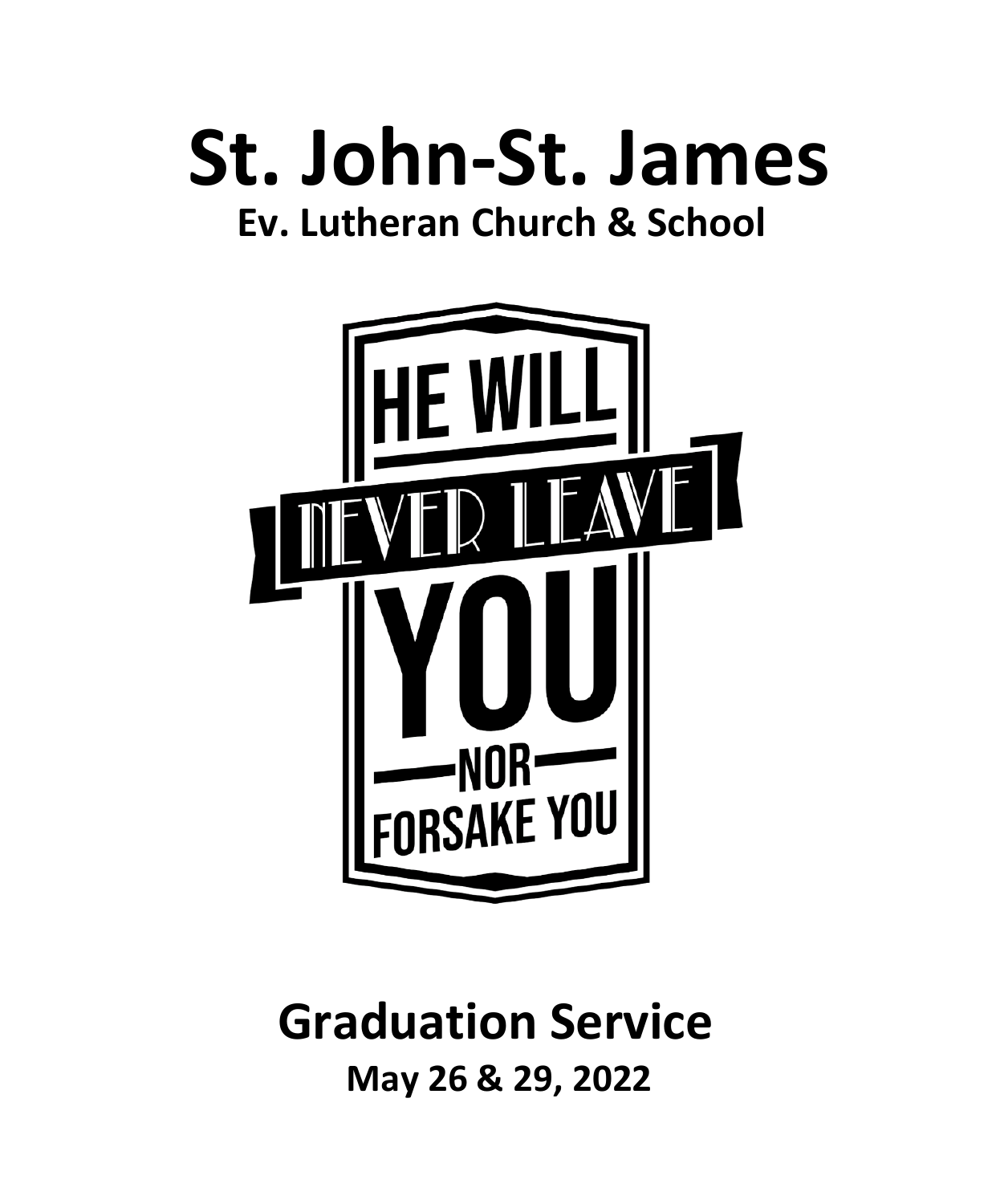



## **Graduation Service May 26 & 29, 2022**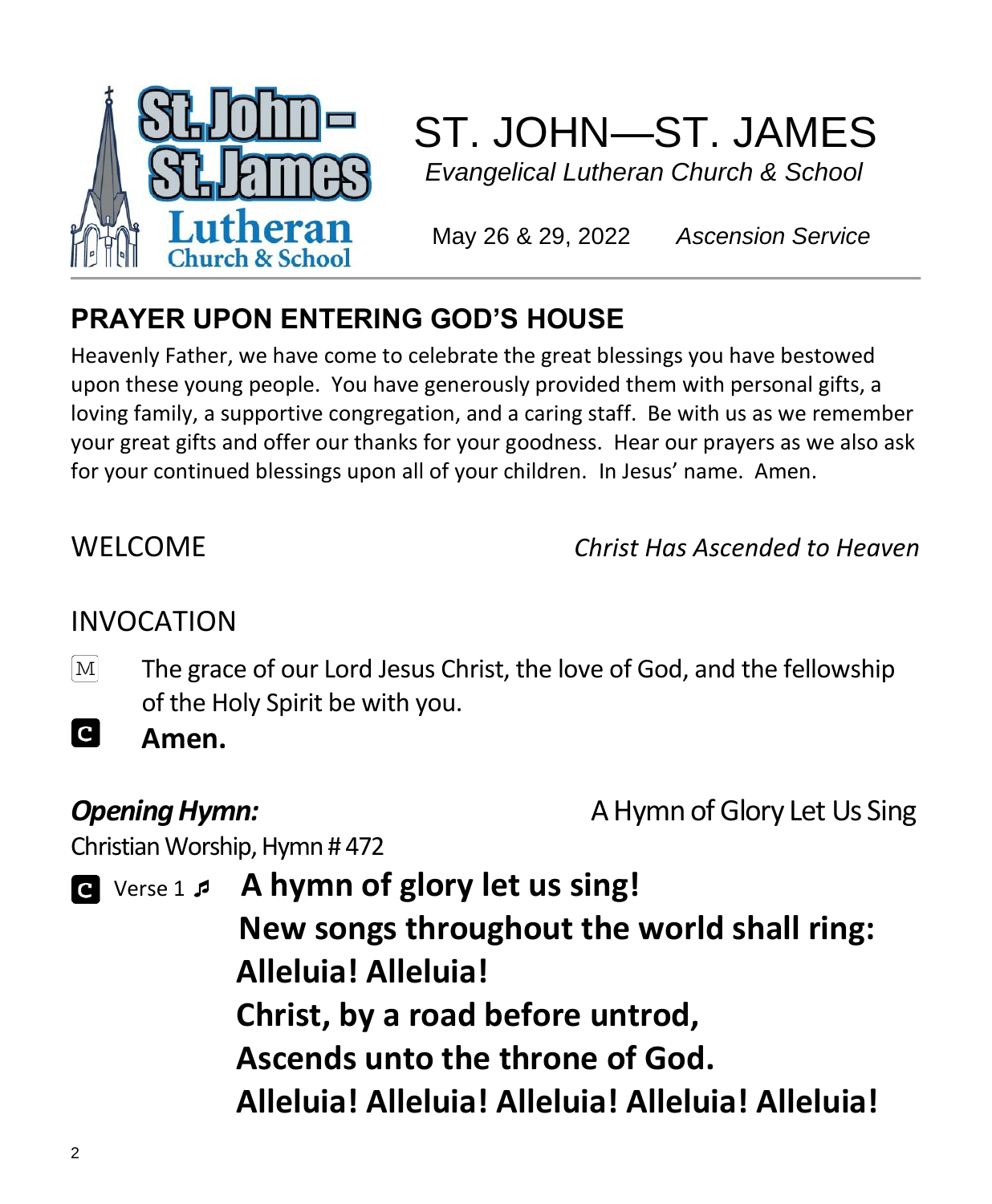

# ST. JOHN—ST. JAMES

 *Evangelical Lutheran Church & School*

May 26 & 29, 2022 *Ascension Service*

### **PRAYER UPON ENTERING GOD'S HOUSE**

Heavenly Father, we have come to celebrate the great blessings you have bestowed upon these young people. You have generously provided them with personal gifts, a loving family, a supportive congregation, and a caring staff. Be with us as we remember your great gifts and offer our thanks for your goodness. Hear our prayers as we also ask for your continued blessings upon all of your children. In Jesus' name. Amen.

WELCOME *Christ Has Ascended to Heaven*

### INVOCATION

The grace of our Lord Jesus Christ, the love of God, and the fellowship  $\mathbf{M}$ of the Holy Spirit be with you.

**C Amen.**

**Opening Hymn: A Hymn of Glory Let Us Sing** 

Christian Worship, Hymn # 472

 Verse 1  **A hymn of glory let us sing! New songs throughout the world shall ring: Alleluia! Alleluia! Christ, by a road before untrod, Ascends unto the throne of God. Alleluia! Alleluia! Alleluia! Alleluia! Alleluia!**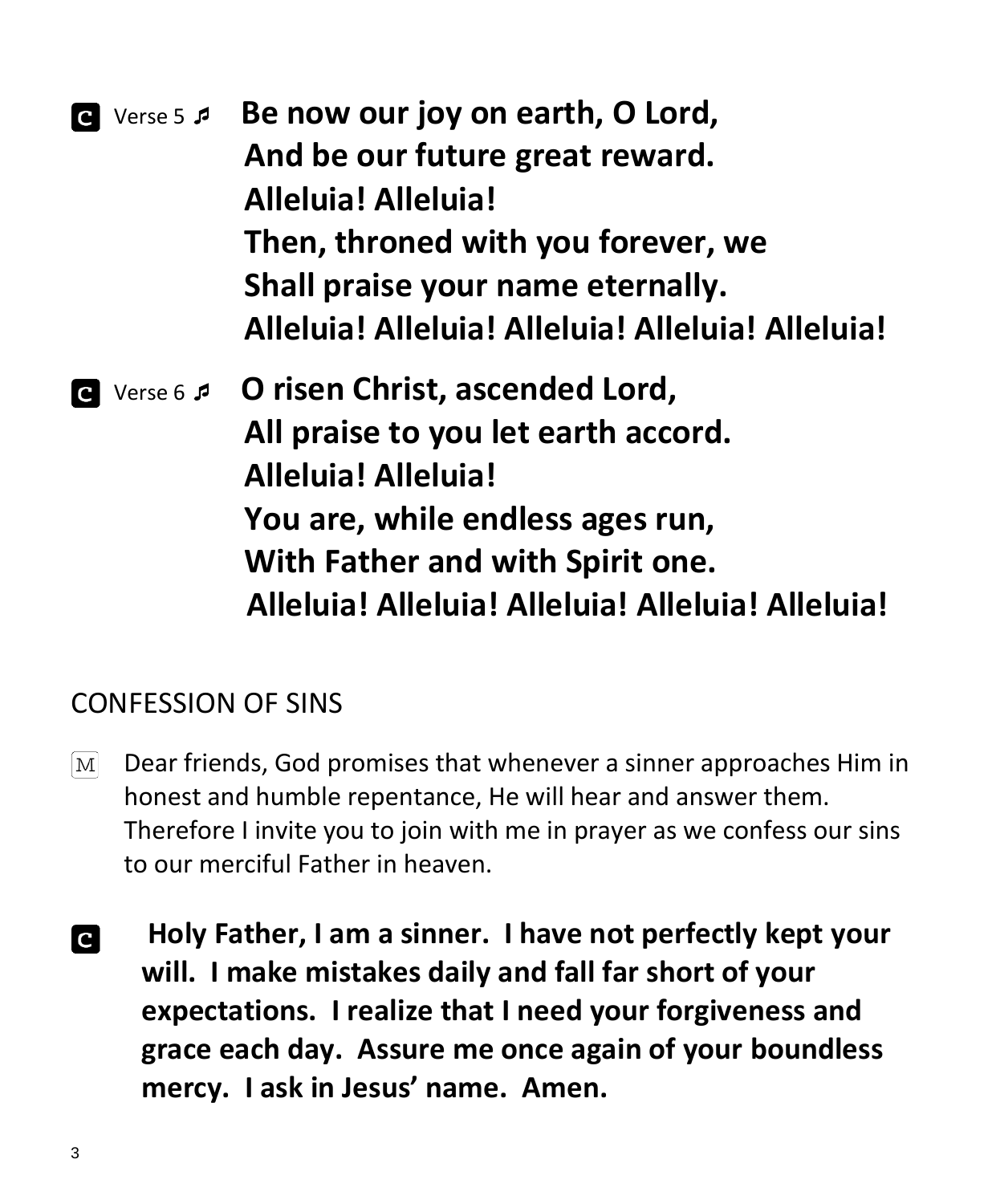| $ {\bf c} $  | Verse 5 5 Be now our joy on earth, O Lord,        |
|--------------|---------------------------------------------------|
|              | And be our future great reward.                   |
|              | <b>Alleluia! Alleluia!</b>                        |
|              | Then, throned with you forever, we                |
|              | Shall praise your name eternally.                 |
|              | Alleluia! Alleluia! Alleluia! Alleluia! Alleluia! |
| $\mathbf{C}$ | Verse 6 <b>5 O risen Christ, ascended Lord,</b>   |
|              | All praise to you let earth accord.               |
|              | <b>Alleluia! Alleluia!</b>                        |
|              |                                                   |
|              | You are, while endless ages run,                  |
|              | With Father and with Spirit one.                  |

#### CONFESSION OF SINS

- Dear friends, God promises that whenever a sinner approaches Him in  $\lceil \text{M} \rceil$ honest and humble repentance, He will hear and answer them. Therefore I invite you to join with me in prayer as we confess our sins to our merciful Father in heaven.
- **Holy Father, I am a sinner. I have not perfectly kept your C will. I make mistakes daily and fall far short of your expectations. I realize that I need your forgiveness and grace each day. Assure me once again of your boundless mercy. I ask in Jesus' name. Amen.**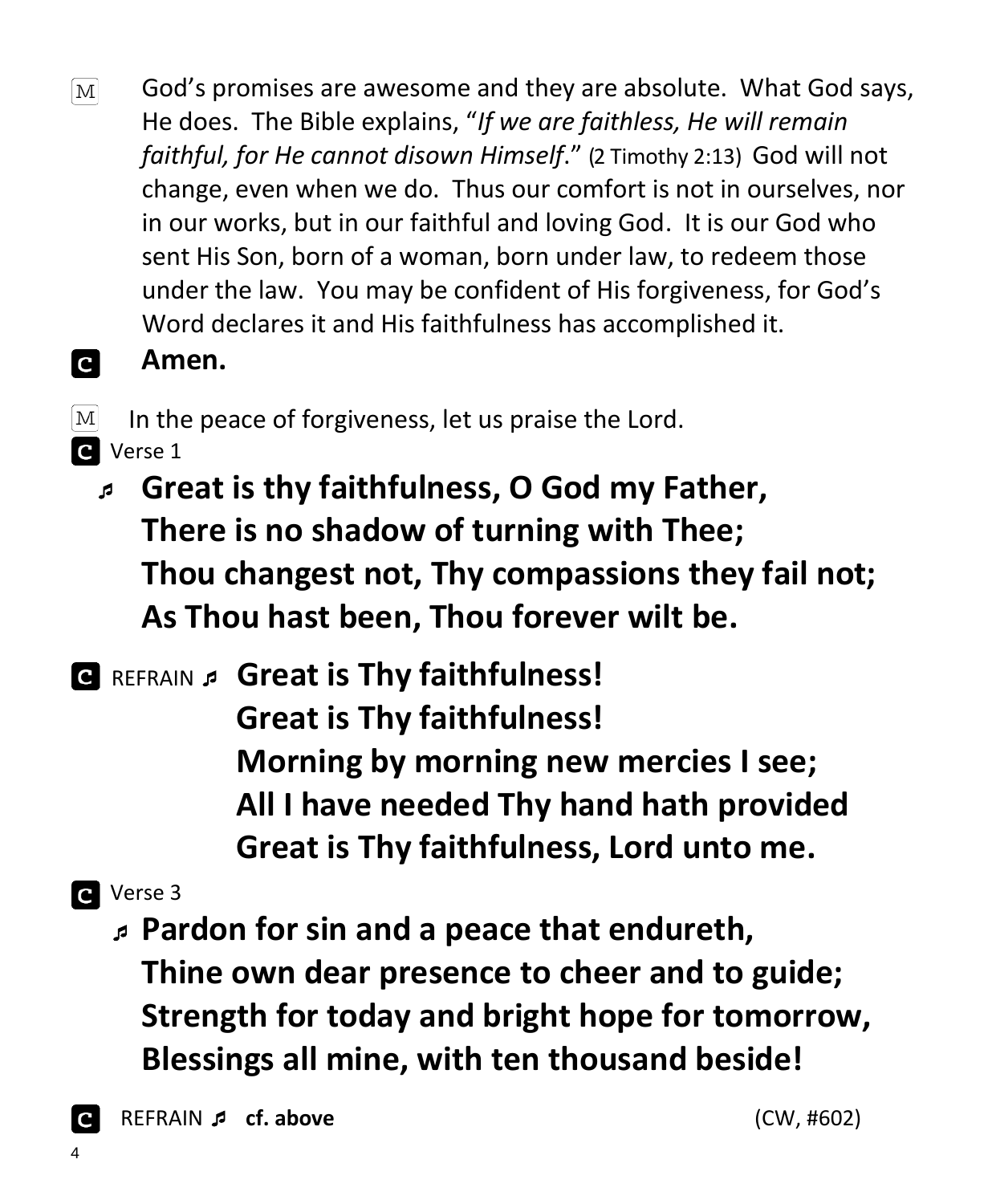- God's promises are awesome and they are absolute. What God says,  $\lceil \text{M} \rceil$ He does. The Bible explains, "*If we are faithless, He will remain faithful, for He cannot disown Himself*." (2 Timothy 2:13) God will not change, even when we do. Thus our comfort is not in ourselves, nor in our works, but in our faithful and loving God. It is our God who sent His Son, born of a woman, born under law, to redeem those under the law. You may be confident of His forgiveness, for God's Word declares it and His faithfulness has accomplished it.
- **C Amen.**

 $\lceil \text{M} \rceil$ In the peace of forgiveness, let us praise the Lord. **C** Verse 1

- **Great is thy faithfulness, O God my Father, There is no shadow of turning with Thee; Thou changest not, Thy compassions they fail not; As Thou hast been, Thou forever wilt be.**
- REFRAIN **Great is Thy faithfulness! Great is Thy faithfulness! Morning by morning new mercies I see; All I have needed Thy hand hath provided Great is Thy faithfulness, Lord unto me.**
- **a** Verse 3
	- **Pardon for sin and a peace that endureth, Thine own dear presence to cheer and to guide; Strength for today and bright hope for tomorrow, Blessings all mine, with ten thousand beside!**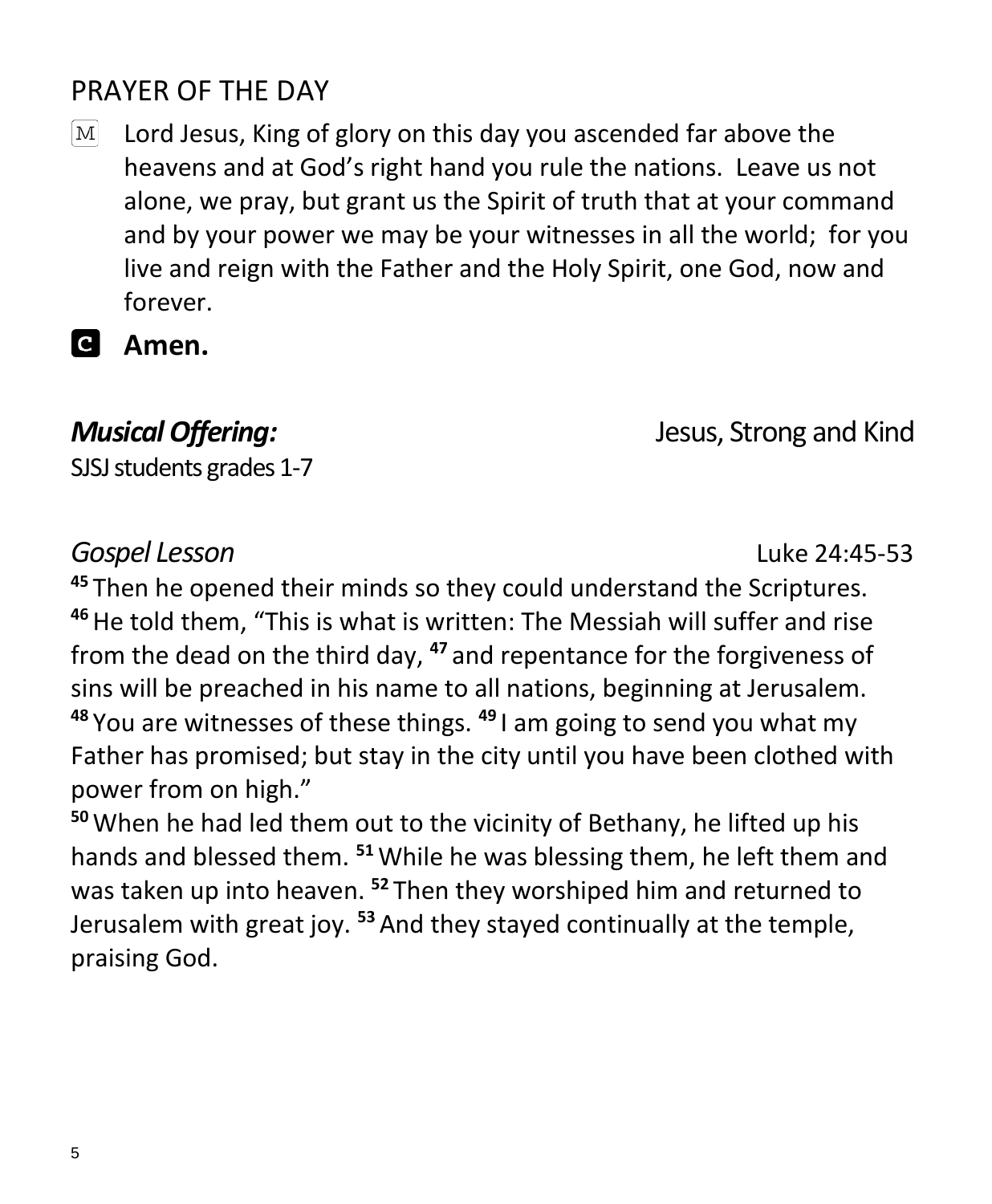#### PRAYER OF THE DAY

 $\boxed{\text{M}}$ Lord Jesus, King of glory on this day you ascended far above the heavens and at God's right hand you rule the nations. Leave us not alone, we pray, but grant us the Spirit of truth that at your command and by your power we may be your witnesses in all the world; for you live and reign with the Father and the Holy Spirit, one God, now and forever.

#### **Amen.**

SJSJ students grades 1-7

#### *Musical Offering:* Jesus, Strong and Kind

#### *Gospel Lesson* Luke 24:45-53

**<sup>45</sup>** Then he opened their minds so they could understand the Scriptures. **<sup>46</sup>**He told them, "This is what is written: The Messiah will suffer and rise from the dead on the third day, **<sup>47</sup>** and repentance for the forgiveness of sins will be preached in his name to all nations, beginning at Jerusalem. **<sup>48</sup>** You are witnesses of these things. **<sup>49</sup>** I am going to send you what my Father has promised; but stay in the city until you have been clothed with power from on high."

**<sup>50</sup>**When he had led them out to the vicinity of Bethany, he lifted up his hands and blessed them. **<sup>51</sup>**While he was blessing them, he left them and was taken up into heaven. **<sup>52</sup>** Then they worshiped him and returned to Jerusalem with great joy. **<sup>53</sup>** And they stayed continually at the temple, praising God.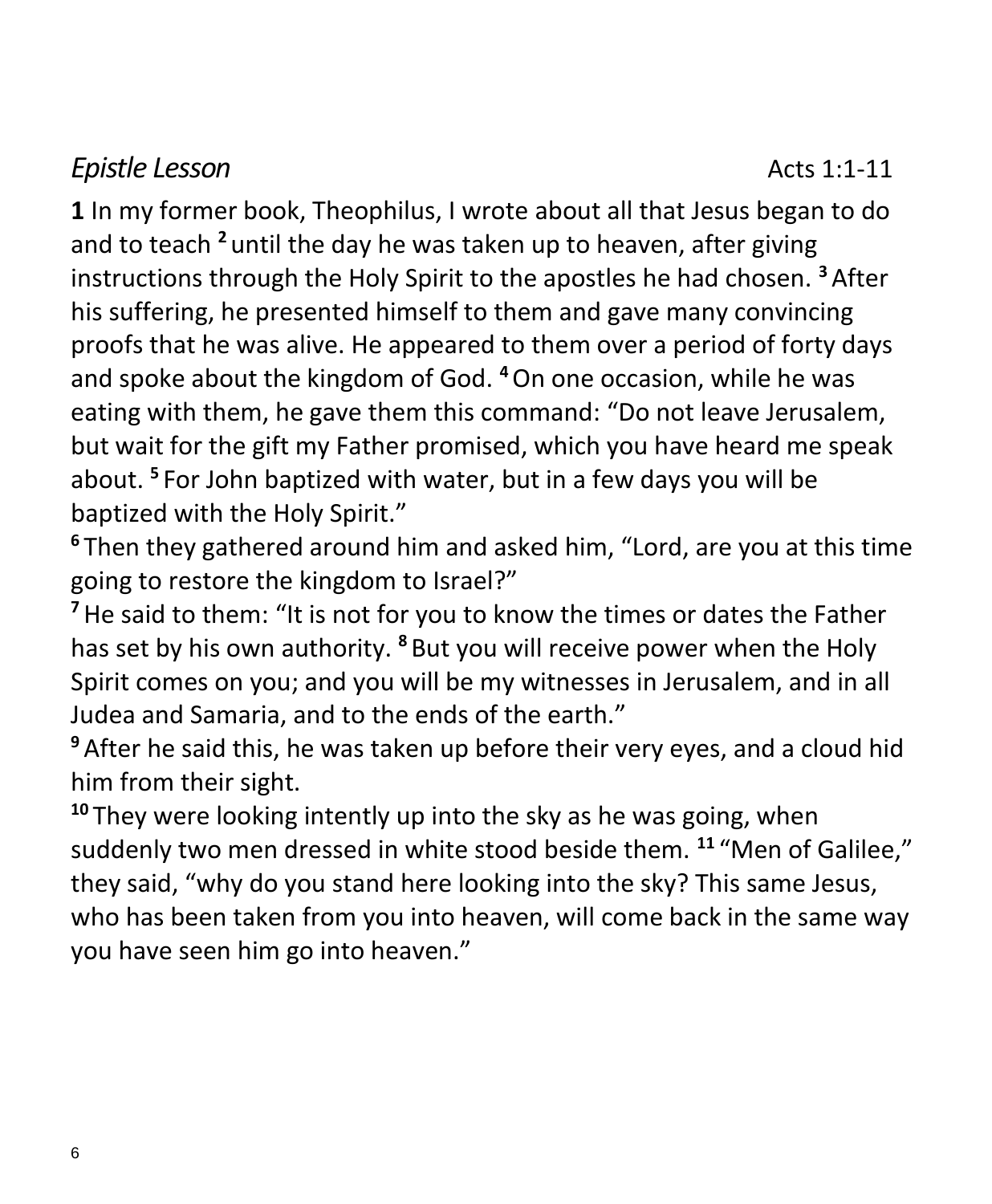#### *Epistle* Lesson **Acts** 1:1-11

**1** In my former book, Theophilus, I wrote about all that Jesus began to do and to teach **<sup>2</sup>** until the day he was taken up to heaven, after giving instructions through the Holy Spirit to the apostles he had chosen. **<sup>3</sup>** After his suffering, he presented himself to them and gave many convincing proofs that he was alive. He appeared to them over a period of forty days and spoke about the kingdom of God. **<sup>4</sup>**On one occasion, while he was eating with them, he gave them this command: "Do not leave Jerusalem, but wait for the gift my Father promised, which you have heard me speak about. **<sup>5</sup>** For John baptized with water, but in a few days you will be baptized with the Holy Spirit."

**<sup>6</sup>** Then they gathered around him and asked him, "Lord, are you at this time going to restore the kingdom to Israel?"

**<sup>7</sup>**He said to them: "It is not for you to know the times or dates the Father has set by his own authority. **<sup>8</sup>** But you will receive power when the Holy Spirit comes on you; and you will be my witnesses in Jerusalem, and in all Judea and Samaria, and to the ends of the earth."

**<sup>9</sup>** After he said this, he was taken up before their very eyes, and a cloud hid him from their sight.

**<sup>10</sup>** They were looking intently up into the sky as he was going, when suddenly two men dressed in white stood beside them. **<sup>11</sup>** "Men of Galilee," they said, "why do you stand here looking into the sky? This same Jesus, who has been taken from you into heaven, will come back in the same way you have seen him go into heaven."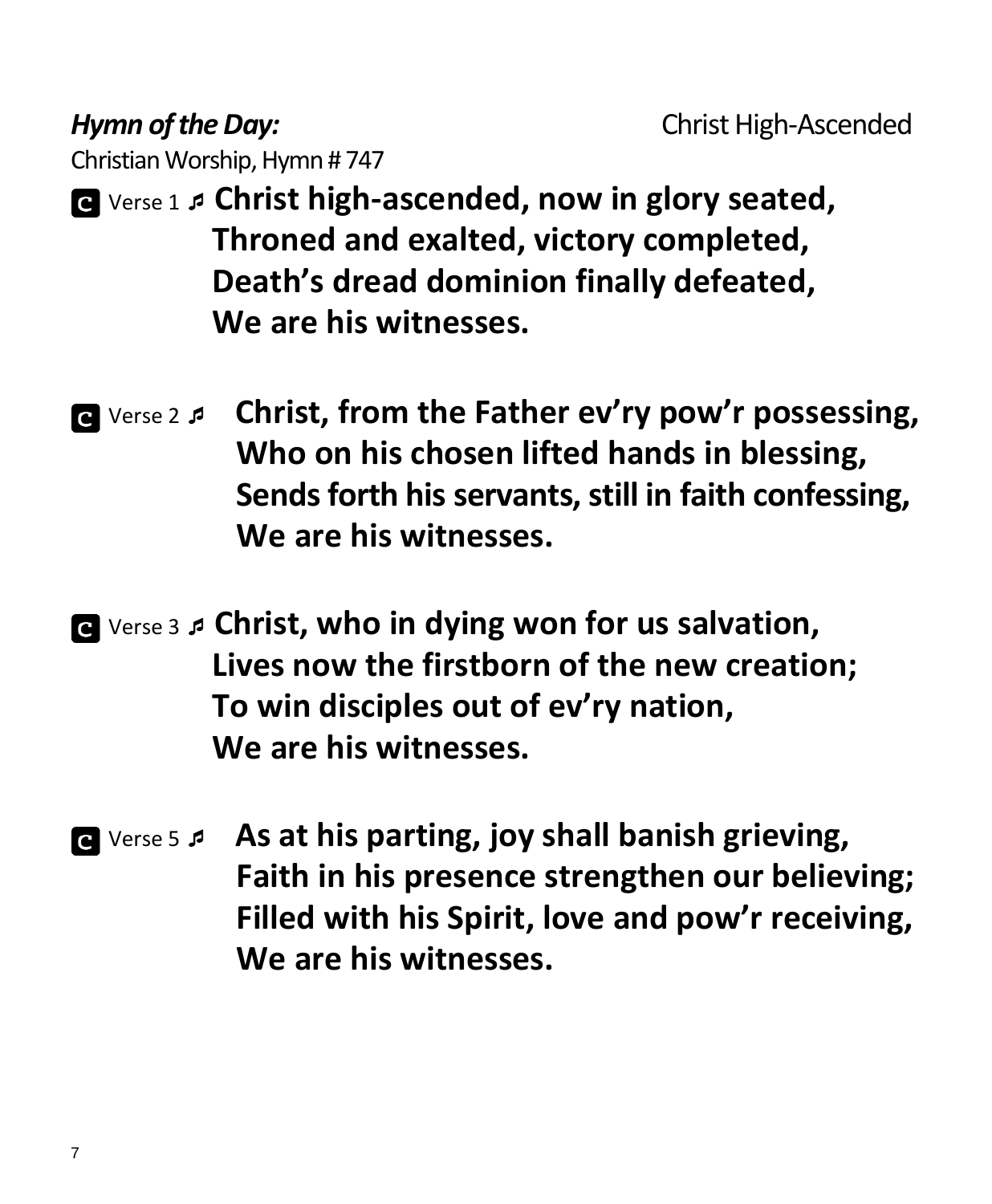**Hymn of the Day: Christ High-Ascended** 

Christian Worship, Hymn # 747

- Verse 1 **Christ high-ascended, now in glory seated, Throned and exalted, victory completed, Death's dread dominion finally defeated, We are his witnesses.**
- Verse 2  **Christ, from the Father ev'ry pow'r possessing, Who on his chosen lifted hands in blessing, Sends forth his servants, still in faith confessing, We are his witnesses.**
- Verse 3 **Christ, who in dying won for us salvation, Lives now the firstborn of the new creation; To win disciples out of ev'ry nation, We are his witnesses.**
- Verse 5  **As at his parting, joy shall banish grieving, Faith in his presence strengthen our believing; Filled with his Spirit, love and pow'r receiving, We are his witnesses.**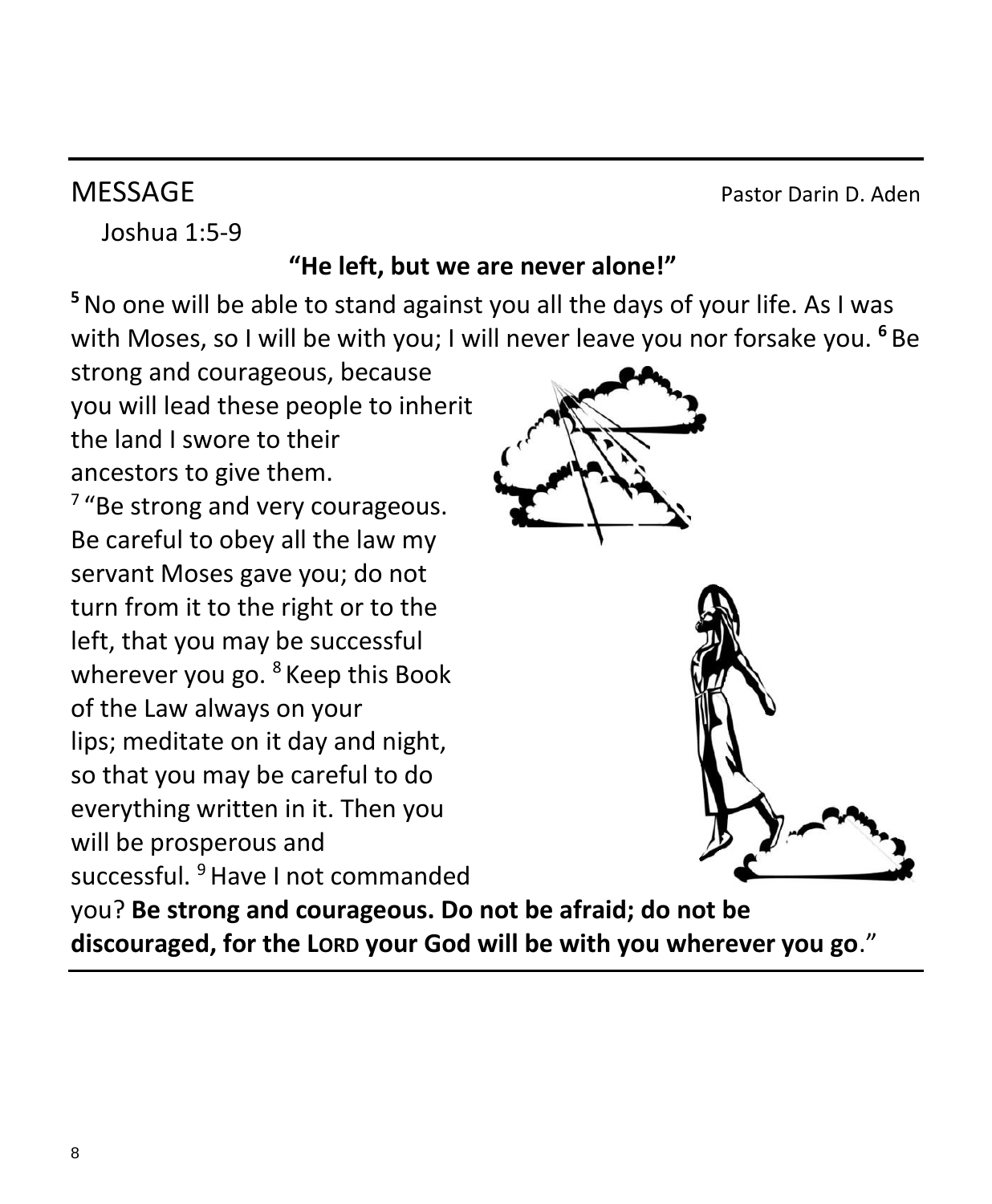**MESSAGE** Pastor Darin D. Aden

Joshua 1:5-9

#### **"He left, but we are never alone!"**

**<sup>5</sup>**No one will be able to stand against you all the days of your life. As I was with Moses, so I will be with you; I will never leave you nor forsake you. **<sup>6</sup>** Be

strong and courageous, because you will lead these people to inherit the land I swore to their ancestors to give them.

<sup>7</sup> "Be strong and very courageous. Be careful to obey all the law my servant Moses gave you; do not turn from it to the right or to the left, that you may be successful wherever you go. <sup>8</sup> Keep this Book of the Law always on your lips; meditate on it day and night, so that you may be careful to do everything written in it. Then you will be prosperous and successful. <sup>9</sup> Have I not commanded





you? **Be strong and courageous. Do not be afraid; do not be discouraged, for the LORD your God will be with you wherever you go**."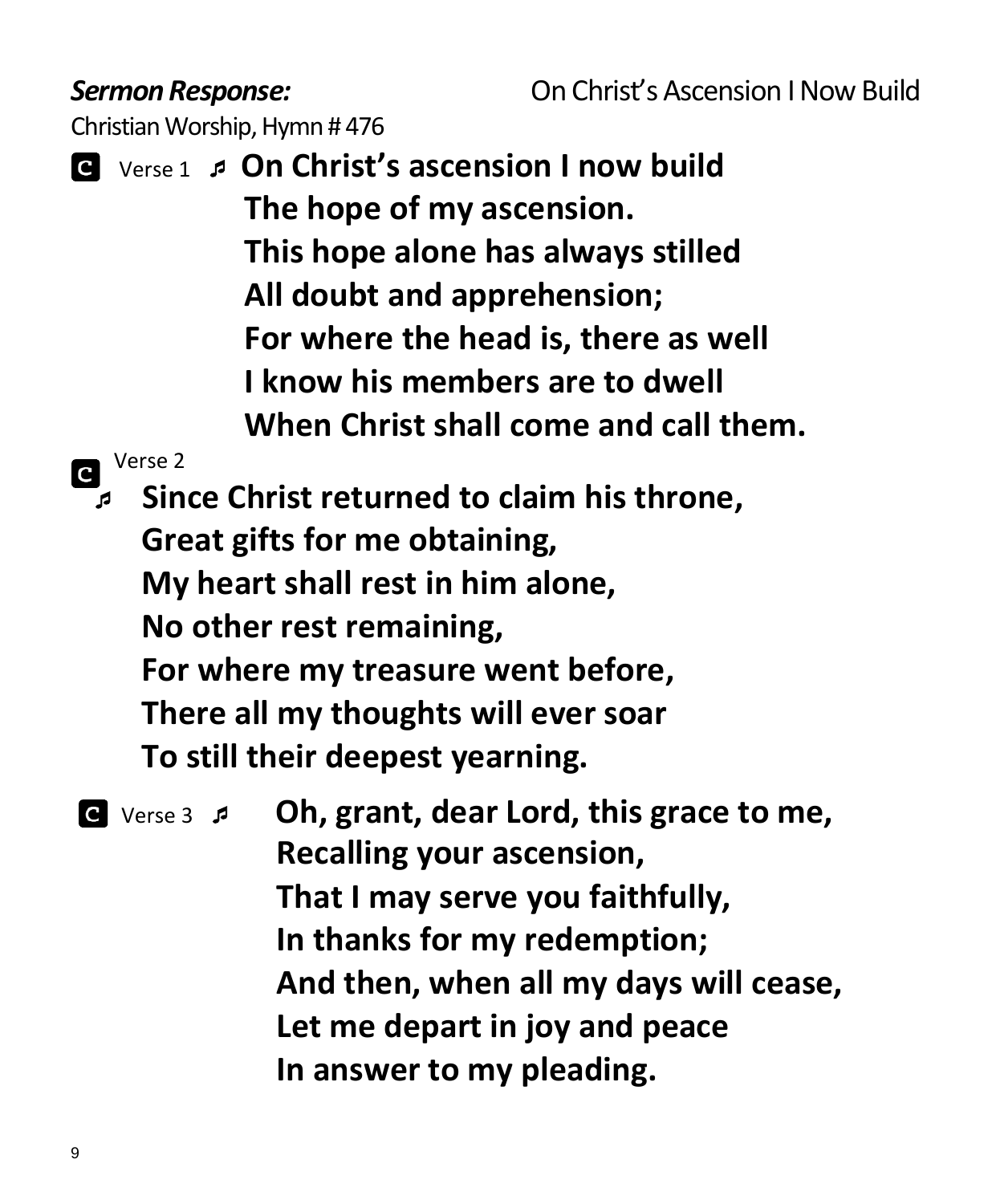Christian Worship, Hymn # 476

 Verse 1  **On Christ's ascension I now build The hope of my ascension. This hope alone has always stilled All doubt and apprehension; For where the head is, there as well I know his members are to dwell When Christ shall come and call them.**

Verse 2

 **Since Christ returned to claim his throne, Great gifts for me obtaining, My heart shall rest in him alone, No other rest remaining, For where my treasure went before, There all my thoughts will ever soar To still their deepest yearning.**

 Verse 3 **Oh, grant, dear Lord, this grace to me, Recalling your ascension, That I may serve you faithfully, In thanks for my redemption; And then, when all my days will cease, Let me depart in joy and peace In answer to my pleading.**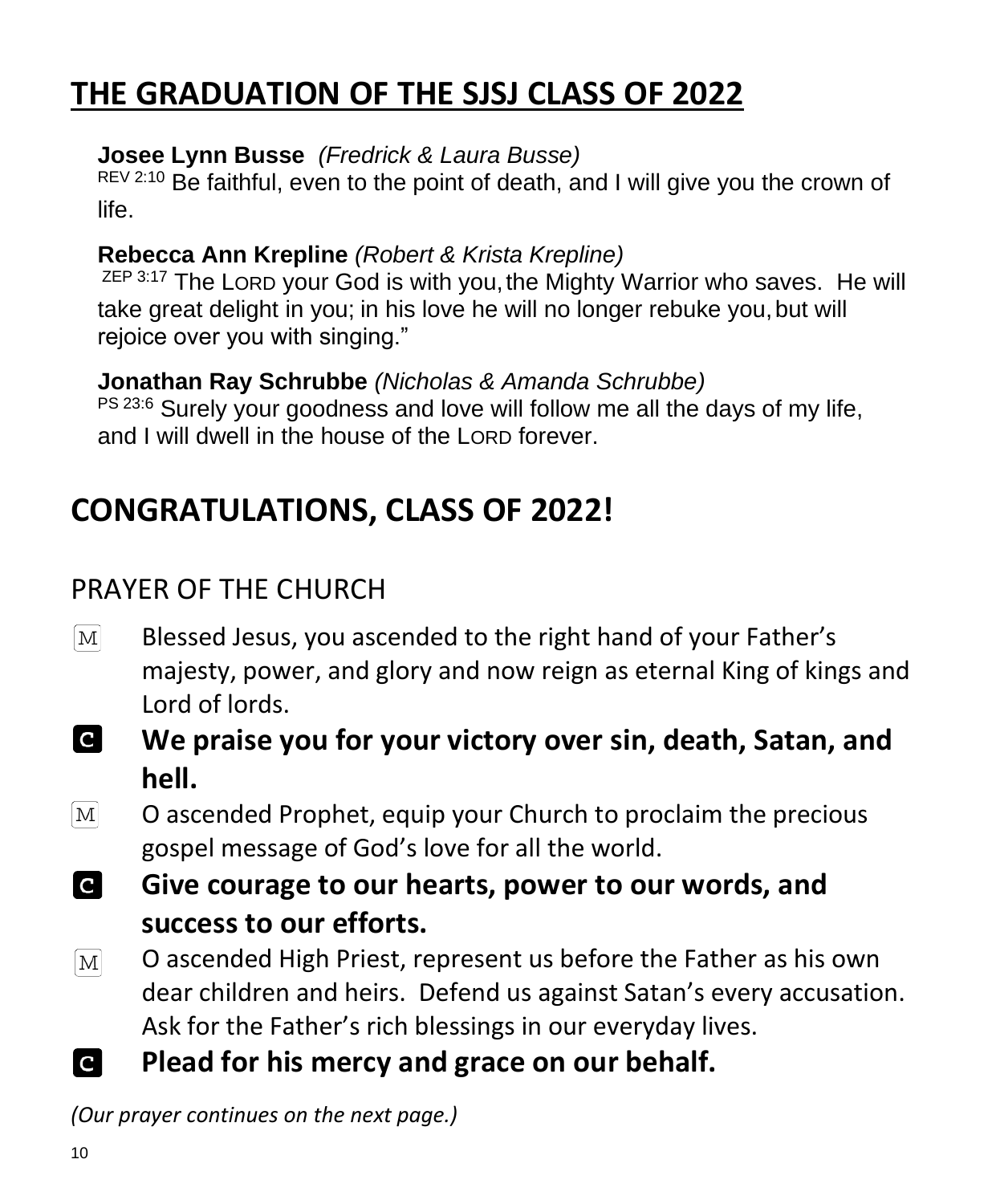## **THE GRADUATION OF THE SJSJ CLASS OF 2022**

#### **Josee Lynn Busse** *(Fredrick & Laura Busse)*

REV 2:10 Be faithful, even to the point of death, and I will give you the crown of life.

#### **Rebecca Ann Krepline** *(Robert & Krista Krepline)*

ZEP 3:17 The LORD your God is with you, the Mighty Warrior who saves. He will take great delight in you; in his love he will no longer rebuke you,but will rejoice over you with singing."

**Jonathan Ray Schrubbe** *(Nicholas & Amanda Schrubbe)* PS 23:6 Surely your goodness and love will follow me all the days of my life, and I will dwell in the house of the LORD forever.

## **CONGRATULATIONS, CLASS OF 2022!**

### PRAYER OF THE CHURCH

- $\lceil \text{M} \rceil$ Blessed Jesus, you ascended to the right hand of your Father's majesty, power, and glory and now reign as eternal King of kings and Lord of lords.
- **C We praise you for your victory over sin, death, Satan, and hell.**
- $\lceil \text{M} \rceil$ O ascended Prophet, equip your Church to proclaim the precious gospel message of God's love for all the world.
- **IC Give courage to our hearts, power to our words, and success to our efforts.**
- O ascended High Priest, represent us before the Father as his own  $\lvert\mathrm{M}\rvert$ dear children and heirs. Defend us against Satan's every accusation. Ask for the Father's rich blessings in our everyday lives.
- **C Plead for his mercy and grace on our behalf.**

*(Our prayer continues on the next page.)*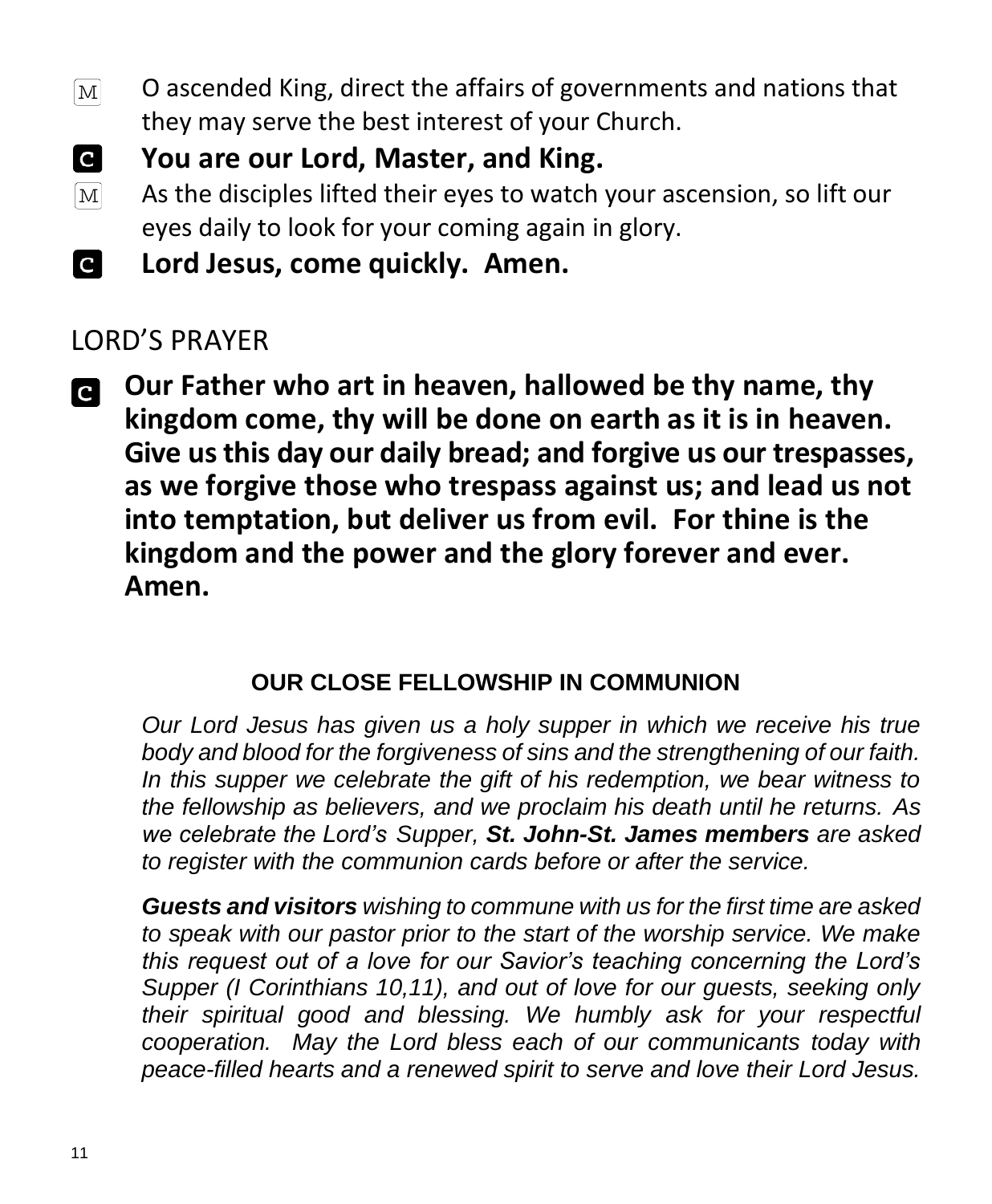- O ascended King, direct the affairs of governments and nations that  $[M]$ they may serve the best interest of your Church.
- **C You are our Lord, Master, and King.**
- As the disciples lifted their eyes to watch your ascension, so lift our  $\lceil \text{M} \rceil$ eyes daily to look for your coming again in glory.
- **Lord Jesus, come quickly. Amen. C**

#### LORD'S PRAYER

**Our Father who art in heaven, hallowed be thy name, thy**  C **kingdom come, thy will be done on earth as it is in heaven. Give us this day our daily bread; and forgive us our trespasses, as we forgive those who trespass against us; and lead us not into temptation, but deliver us from evil. For thine is the kingdom and the power and the glory forever and ever. Amen.**

#### **OUR CLOSE FELLOWSHIP IN COMMUNION**

*Our Lord Jesus has given us a holy supper in which we receive his true body and blood for the forgiveness of sins and the strengthening of our faith. In this supper we celebrate the gift of his redemption, we bear witness to the fellowship as believers, and we proclaim his death until he returns. As we celebrate the Lord's Supper, St. John-St. James members are asked to register with the communion cards before or after the service.* 

*Guests and visitors wishing to commune with us for the first time are asked to speak with our pastor prior to the start of the worship service. We make this request out of a love for our Savior's teaching concerning the Lord's Supper (I Corinthians 10,11), and out of love for our guests, seeking only their spiritual good and blessing. We humbly ask for your respectful cooperation. May the Lord bless each of our communicants today with peace-filled hearts and a renewed spirit to serve and love their Lord Jesus.*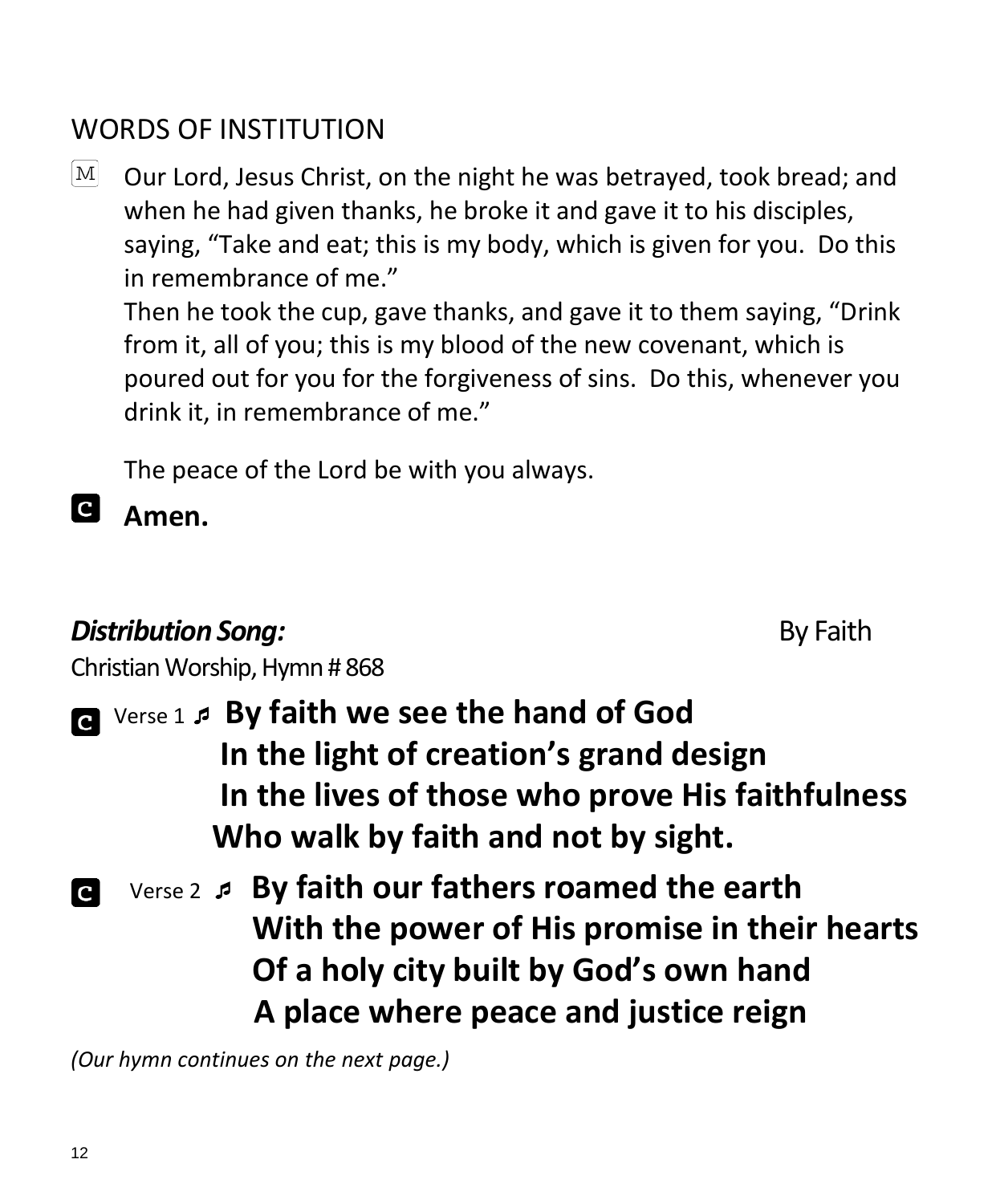### WORDS OF INSTITUTION

 $\mathbb{M}$  Our Lord, Jesus Christ, on the night he was betrayed, took bread; and when he had given thanks, he broke it and gave it to his disciples, saying, "Take and eat; this is my body, which is given for you. Do this in remembrance of me."

Then he took the cup, gave thanks, and gave it to them saying, "Drink from it, all of you; this is my blood of the new covenant, which is poured out for you for the forgiveness of sins. Do this, whenever you drink it, in remembrance of me."

The peace of the Lord be with you always.

**C Amen.**

#### **Distribution Song: By Faith**

Christian Worship, Hymn # 868

- 
- Verse 1  **By faith we see the hand of God In the light of creation's grand design In the lives of those who prove His faithfulness Who walk by faith and not by sight.**
- Verse 2  **By faith our fathers roamed the earth With the power of His promise in their hearts Of a holy city built by God's own hand A place where peace and justice reign**

*(Our hymn continues on the next page.)*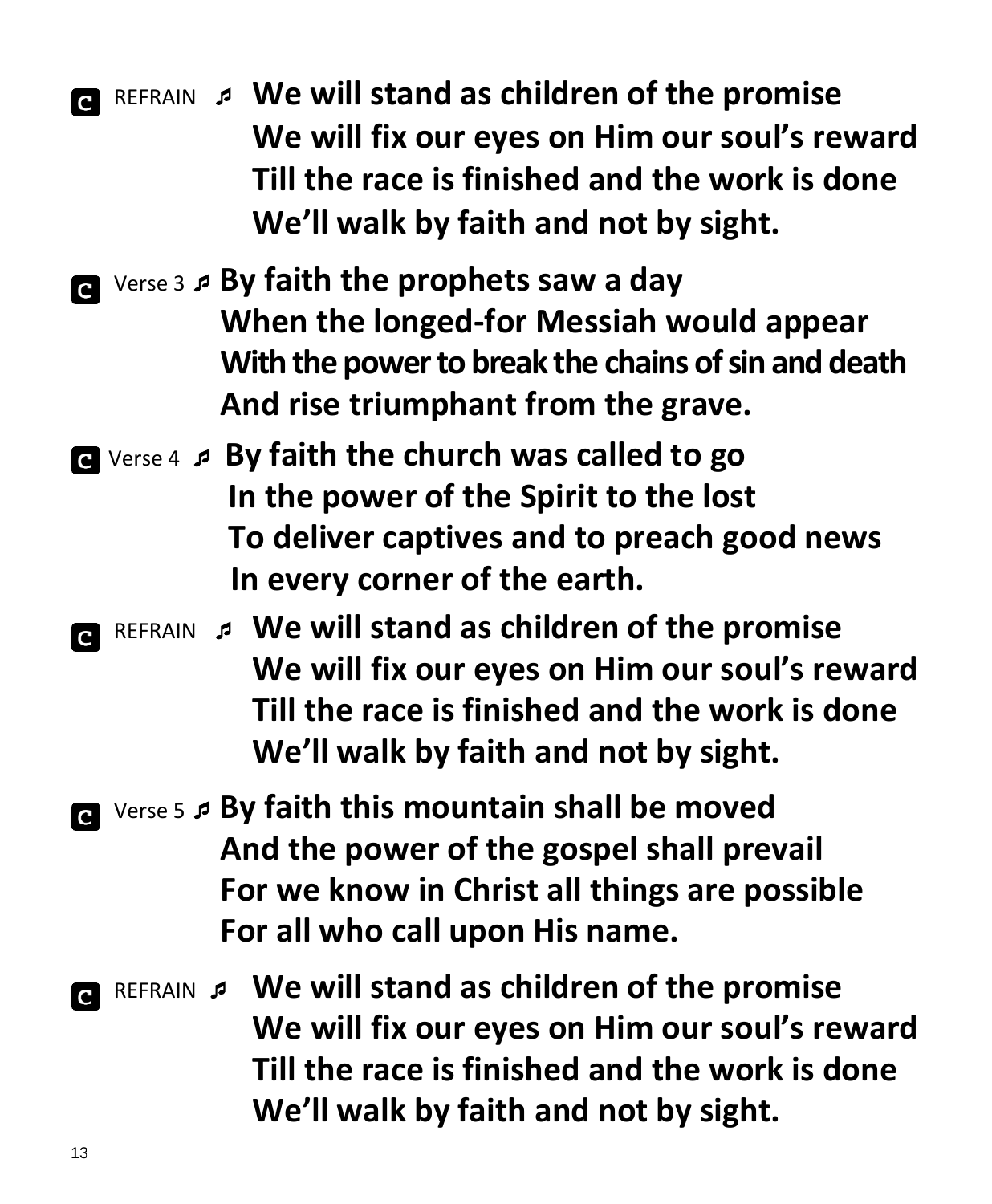REFRAIN **We will stand as children of the promise We will fix our eyes on Him our soul's reward Till the race is finished and the work is done We'll walk by faith and not by sight.**

- Verse 3 **By faith the prophets saw a day When the longed-for Messiah would appear With the power to break the chains of sin and death And rise triumphant from the grave.**
- Verse 4  **By faith the church was called to go In the power of the Spirit to the lost To deliver captives and to preach good news In every corner of the earth.**
- REFRAIN **We will stand as children of the promise We will fix our eyes on Him our soul's reward Till the race is finished and the work is done We'll walk by faith and not by sight.**
- **a** Verse 5 *P* By faith this mountain shall be moved **And the power of the gospel shall prevail For we know in Christ all things are possible For all who call upon His name.**
- REFRAIN  **We will stand as children of the promise We will fix our eyes on Him our soul's reward Till the race is finished and the work is done We'll walk by faith and not by sight.**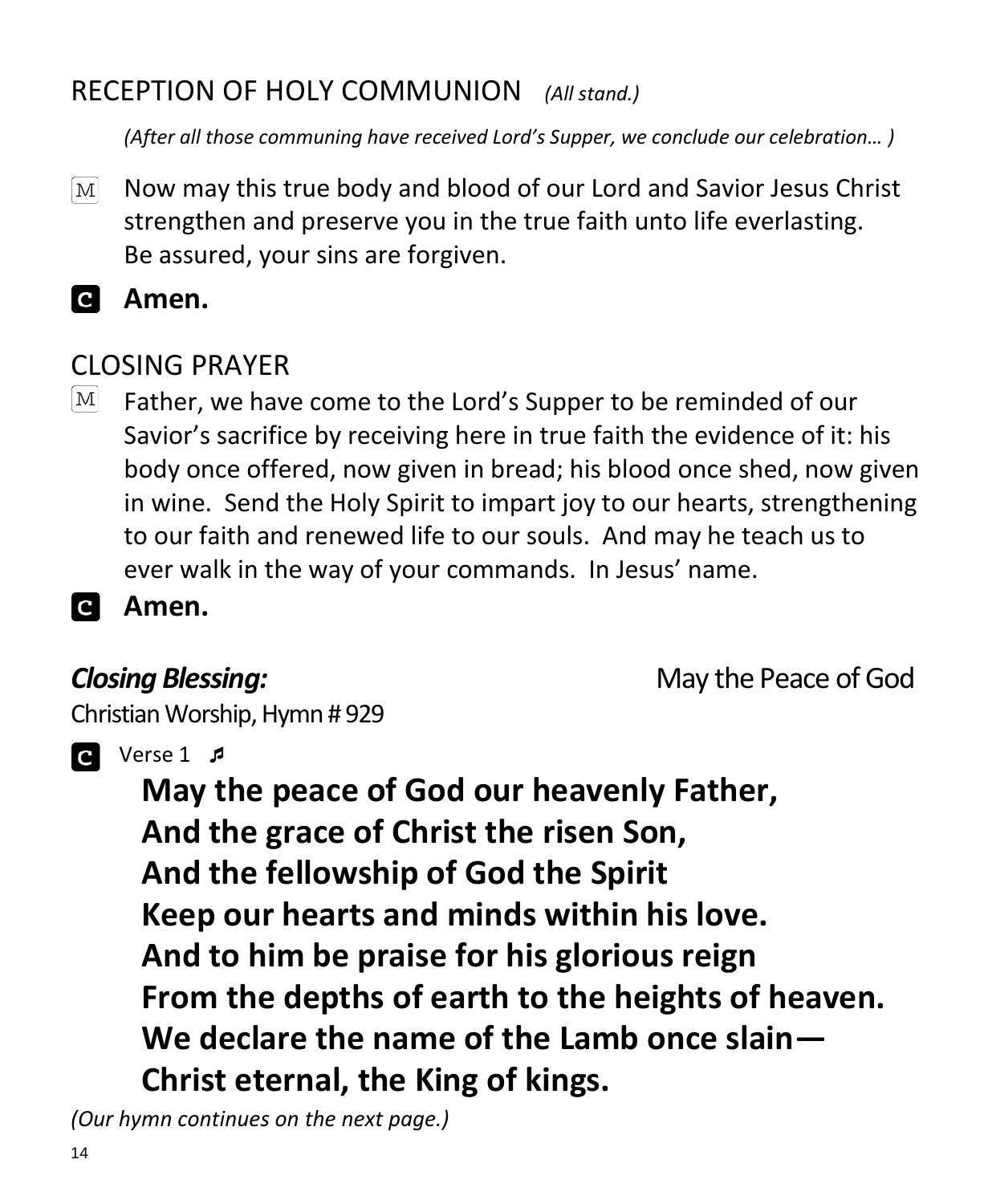### RECEPTION OF HOLY COMMUNION *(All stand.)*

*(After all those communing have received Lord's Supper, we conclude our celebration… )*

- Now may this true body and blood of our Lord and Savior Jesus Christ  $M<sub>l</sub>$ strengthen and preserve you in the true faith unto life everlasting. Be assured, your sins are forgiven.
- ia. **Amen.**

#### CLOSING PRAYER

- $\mathbf{M}$ Father, we have come to the Lord's Supper to be reminded of our Savior's sacrifice by receiving here in true faith the evidence of it: his body once offered, now given in bread; his blood once shed, now given in wine. Send the Holy Spirit to impart joy to our hearts, strengthening to our faith and renewed life to our souls. And may he teach us to ever walk in the way of your commands. In Jesus' name.
- **a Amen.**

**Closing Blessing: Closing Blessing: May the Peace of God** 

Christian Worship, Hymn # 929



 $\bullet$  Verse 1  $\sharp$ 

**May the peace of God our heavenly Father, And the grace of Christ the risen Son, And the fellowship of God the Spirit Keep our hearts and minds within his love. And to him be praise for his glorious reign From the depths of earth to the heights of heaven. We declare the name of the Lamb once slain— Christ eternal, the King of kings.**

*(Our hymn continues on the next page.)*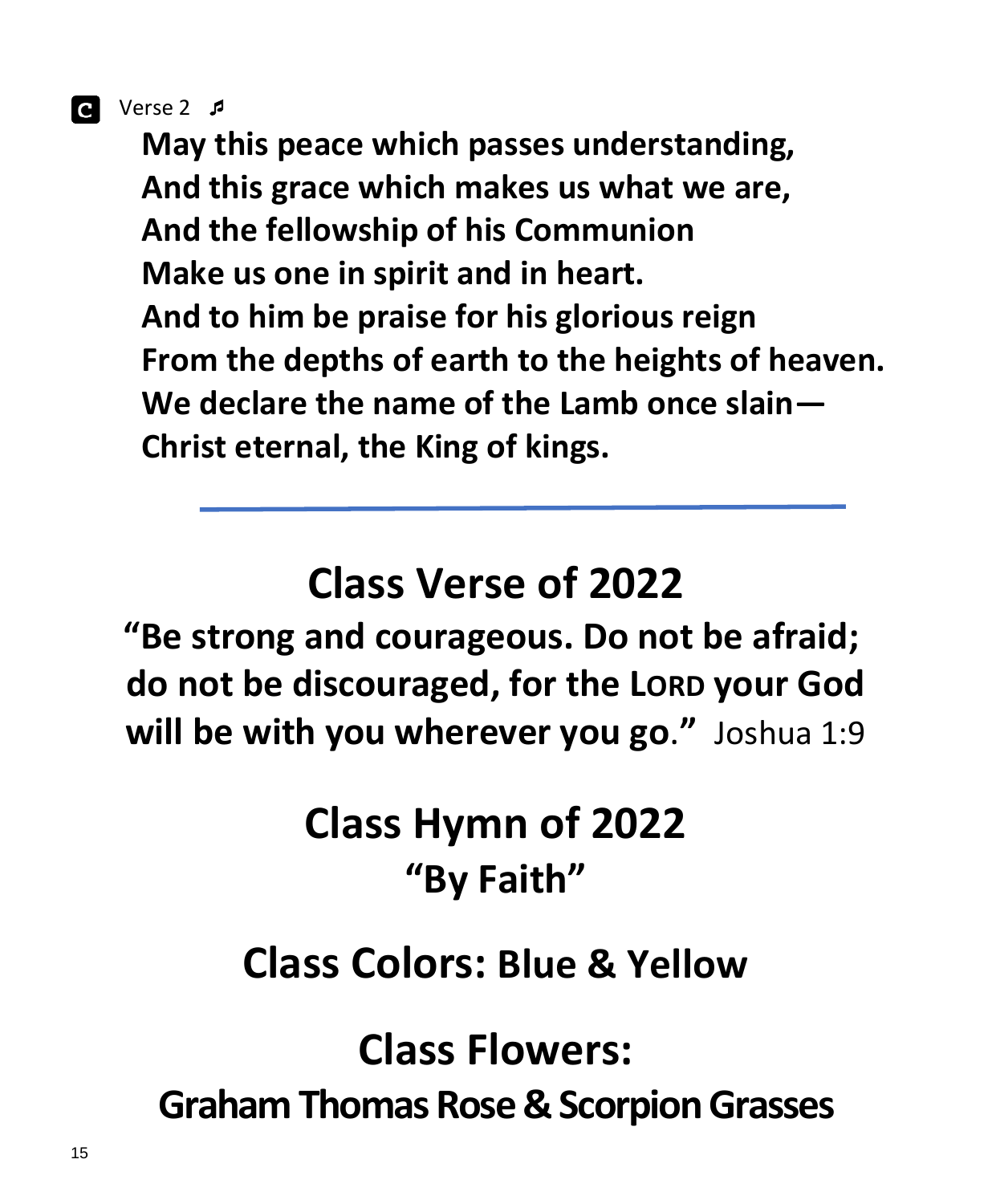Verse 2 

**May this peace which passes understanding, And this grace which makes us what we are, And the fellowship of his Communion Make us one in spirit and in heart. And to him be praise for his glorious reign From the depths of earth to the heights of heaven. We declare the name of the Lamb once slain— Christ eternal, the King of kings.**

## **Class Verse of 2022**

**"Be strong and courageous. Do not be afraid; do not be discouraged, for the LORD your God will be with you wherever you go**.**"** Joshua 1:9

## **Class Hymn of 2022 "By Faith"**

## **Class Colors: Blue & Yellow**

**Class Flowers:** 

**Graham Thomas Rose & Scorpion Grasses**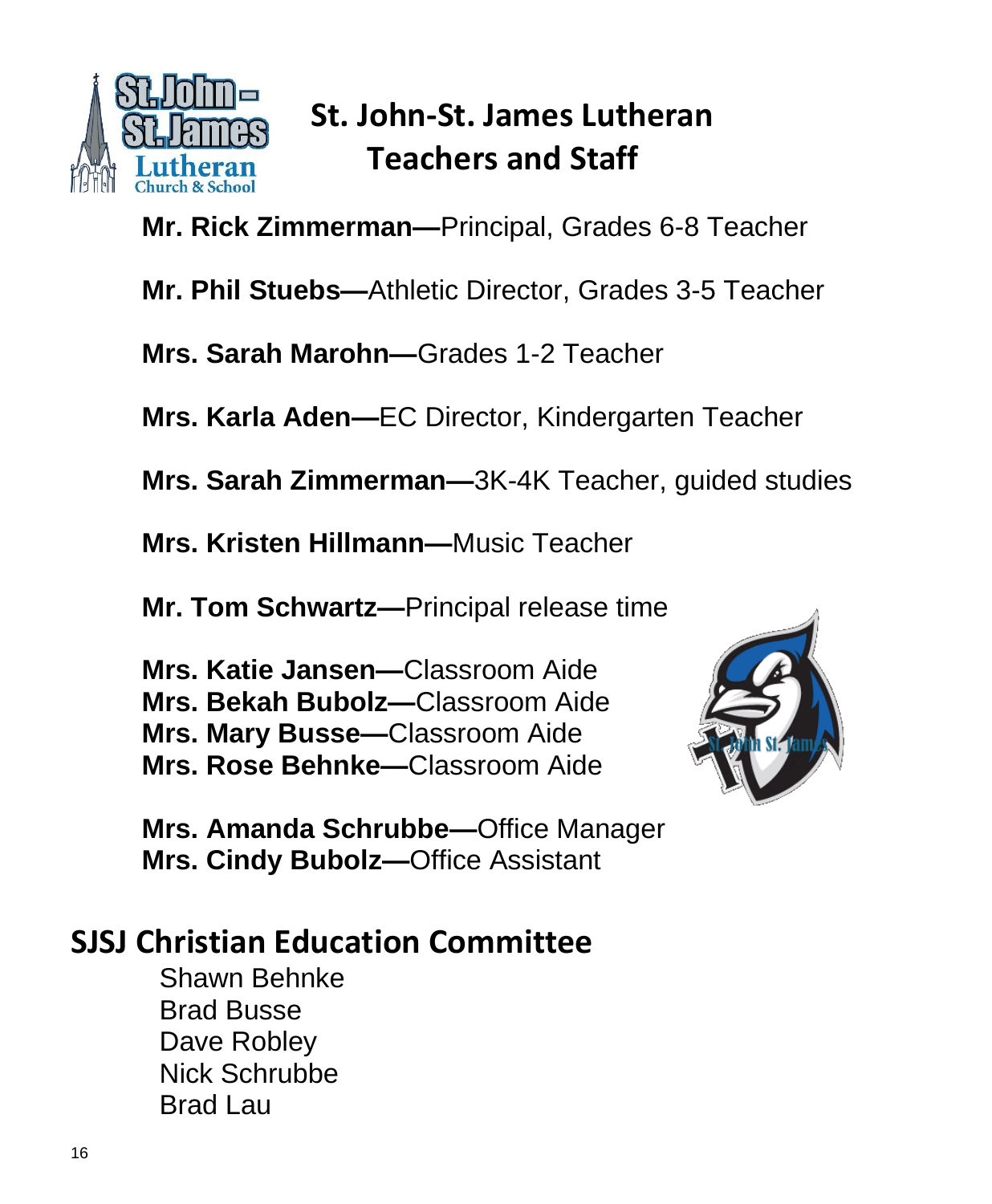

## **St. John-St. James Lutheran Teachers and Staff**

**Mr. Rick Zimmerman—**Principal, Grades 6-8 Teacher

**Mr. Phil Stuebs—**Athletic Director, Grades 3-5 Teacher

**Mrs. Sarah Marohn—**Grades 1-2 Teacher

**Mrs. Karla Aden—**EC Director, Kindergarten Teacher

**Mrs. Sarah Zimmerman—**3K-4K Teacher, guided studies

**Mrs. Kristen Hillmann—**Music Teacher

**Mr. Tom Schwartz—**Principal release time

**Mrs. Katie Jansen—**Classroom Aide **Mrs. Bekah Bubolz—**Classroom Aide **Mrs. Mary Busse—**Classroom Aide **Mrs. Rose Behnke—**Classroom Aide



**Mrs. Amanda Schrubbe—**Office Manager **Mrs. Cindy Bubolz—**Office Assistant

### **SJSJ Christian Education Committee**

Shawn Behnke Brad Busse Dave Robley Nick Schrubbe Brad Lau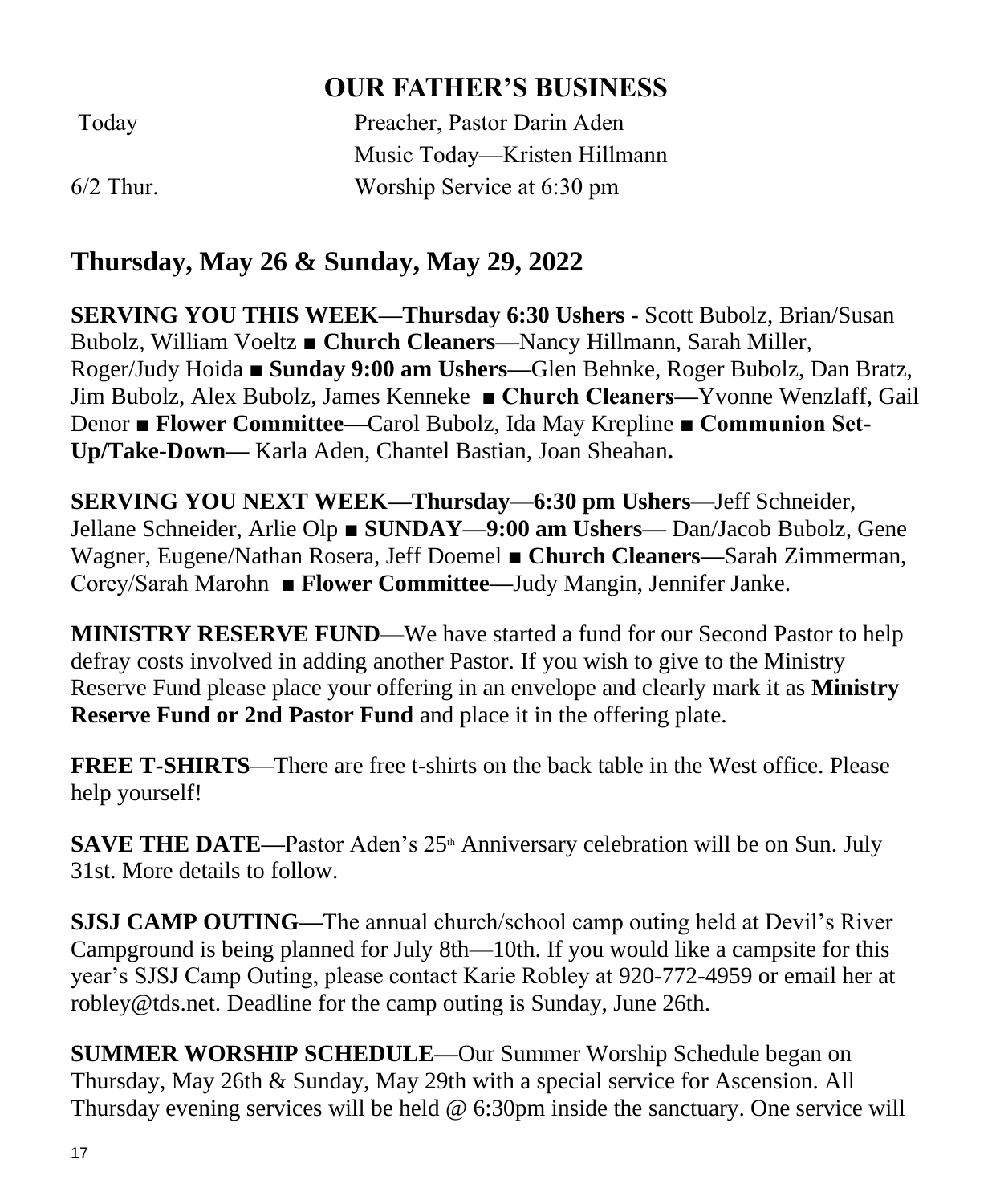#### **OUR FATHER'S BUSINESS**

| Today       | Preacher, Pastor Darin Aden  |
|-------------|------------------------------|
|             | Music Today—Kristen Hillmann |
| $6/2$ Thur. | Worship Service at 6:30 pm   |

#### **Thursday, May 26 & Sunday, May 29, 2022**

**SERVING YOU THIS WEEK—Thursday 6:30 Ushers -** Scott Bubolz, Brian/Susan Bubolz, William Voeltz ■ **Church Cleaners—**Nancy Hillmann, Sarah Miller, Roger/Judy Hoida ■ **Sunday 9:00 am Ushers—**Glen Behnke, Roger Bubolz, Dan Bratz, Jim Bubolz, Alex Bubolz, James Kenneke **■ Church Cleaners—**Yvonne Wenzlaff, Gail Denor ■ **Flower Committee—**Carol Bubolz, Ida May Krepline **■ Communion Set-Up/Take-Down—** Karla Aden, Chantel Bastian, Joan Sheahan**.**

**SERVING YOU NEXT WEEK—Thursday**—**6:30 pm Ushers**—Jeff Schneider, Jellane Schneider, Arlie Olp ■ **SUNDAY—9:00 am Ushers—** Dan/Jacob Bubolz, Gene Wagner, Eugene/Nathan Rosera, Jeff Doemel ■ **Church Cleaners—**Sarah Zimmerman, Corey/Sarah Marohn ■ **Flower Committee—**Judy Mangin, Jennifer Janke.

**MINISTRY RESERVE FUND**—We have started a fund for our Second Pastor to help defray costs involved in adding another Pastor. If you wish to give to the Ministry Reserve Fund please place your offering in an envelope and clearly mark it as **Ministry Reserve Fund or 2nd Pastor Fund** and place it in the offering plate.

**FREE T-SHIRTS**—There are free t-shirts on the back table in the West office. Please help yourself!

**SAVE THE DATE—Pastor Aden's 25<sup>th</sup> Anniversary celebration will be on Sun. July** 31st. More details to follow.

**SJSJ CAMP OUTING—**The annual church/school camp outing held at Devil's River Campground is being planned for July 8th—10th. If you would like a campsite for this year's SJSJ Camp Outing, please contact Karie Robley at 920-772-4959 or email her at robley@tds.net. Deadline for the camp outing is Sunday, June 26th.

**SUMMER WORSHIP SCHEDULE—**Our Summer Worship Schedule began on Thursday, May 26th & Sunday, May 29th with a special service for Ascension. All Thursday evening services will be held @ 6:30pm inside the sanctuary. One service will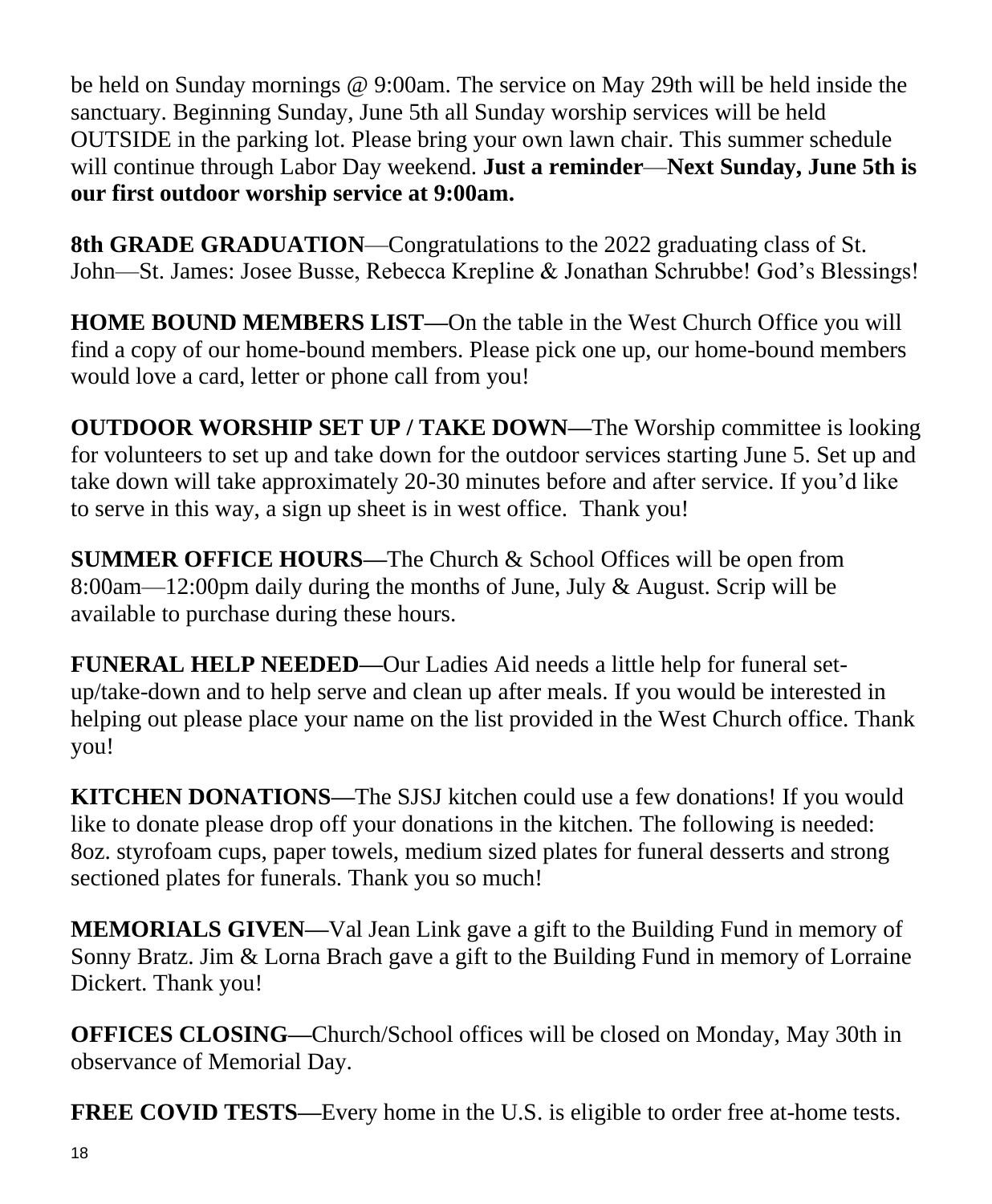be held on Sunday mornings @ 9:00am. The service on May 29th will be held inside the sanctuary. Beginning Sunday, June 5th all Sunday worship services will be held OUTSIDE in the parking lot. Please bring your own lawn chair. This summer schedule will continue through Labor Day weekend. **Just a reminder**—**Next Sunday, June 5th is our first outdoor worship service at 9:00am.**

**8th GRADE GRADUATION**—Congratulations to the 2022 graduating class of St. John—St. James: Josee Busse, Rebecca Krepline & Jonathan Schrubbe! God's Blessings!

**HOME BOUND MEMBERS LIST—**On the table in the West Church Office you will find a copy of our home-bound members. Please pick one up, our home-bound members would love a card, letter or phone call from you!

**OUTDOOR WORSHIP SET UP / TAKE DOWN—**The Worship committee is looking for volunteers to set up and take down for the outdoor services starting June 5. Set up and take down will take approximately 20-30 minutes before and after service. If you'd like to serve in this way, a sign up sheet is in west office. Thank you!

**SUMMER OFFICE HOURS—**The Church & School Offices will be open from 8:00am—12:00pm daily during the months of June, July & August. Scrip will be available to purchase during these hours.

**FUNERAL HELP NEEDED—**Our Ladies Aid needs a little help for funeral setup/take-down and to help serve and clean up after meals. If you would be interested in helping out please place your name on the list provided in the West Church office. Thank you!

**KITCHEN DONATIONS—**The SJSJ kitchen could use a few donations! If you would like to donate please drop off your donations in the kitchen. The following is needed: 8oz. styrofoam cups, paper towels, medium sized plates for funeral desserts and strong sectioned plates for funerals. Thank you so much!

**MEMORIALS GIVEN—**Val Jean Link gave a gift to the Building Fund in memory of Sonny Bratz. Jim & Lorna Brach gave a gift to the Building Fund in memory of Lorraine Dickert. Thank you!

**OFFICES CLOSING—**Church/School offices will be closed on Monday, May 30th in observance of Memorial Day.

**FREE COVID TESTS—**Every home in the U.S. is eligible to order free at-home tests.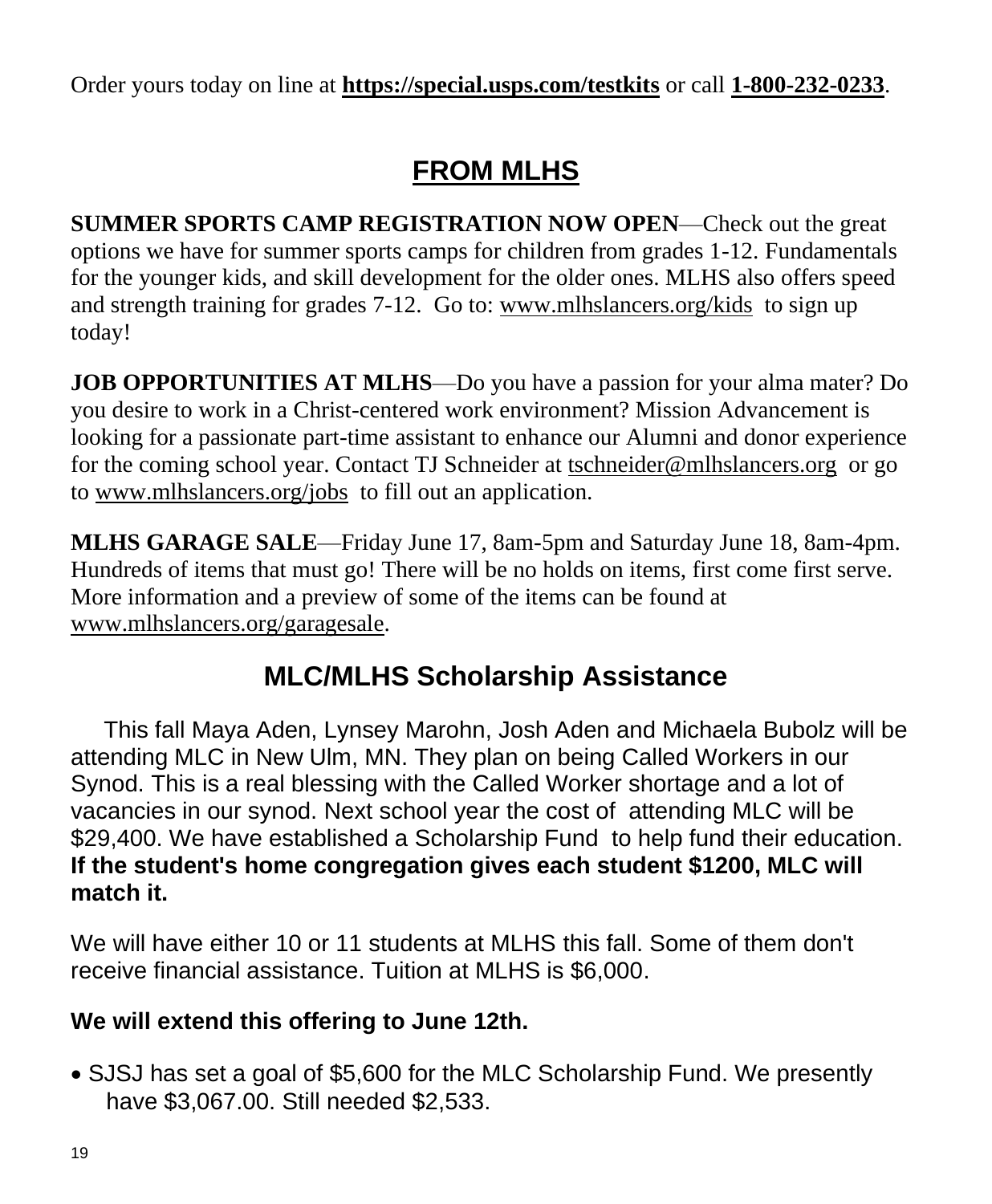Order yours today on line at **https://special.usps.com/testkits** or call **[1-800-232-0233](tel:1-800-232-0233)**.

### **FROM MLHS**

**SUMMER SPORTS CAMP REGISTRATION NOW OPEN**—Check out the great options we have for summer sports camps for children from grades 1-12. Fundamentals for the younger kids, and skill development for the older ones. MLHS also offers speed and strength training for grades 7-12. Go to: [www.mlhslancers.org/kids](http://www.mlhslancers.org/kids) to sign up today!

**JOB OPPORTUNITIES AT MLHS—Do** you have a passion for your alma mater? Do you desire to work in a Christ-centered work environment? Mission Advancement is looking for a passionate part-time assistant to enhance our Alumni and donor experience for the coming school year. Contact TJ Schneider at [tschneider@mlhslancers.org](mailto:tschneider@mlhslancers.org) or go to [www.mlhslancers.org/jobs](http://www.mlhslancers.org/jobs) to fill out an application.

**MLHS GARAGE SALE**—Friday June 17, 8am-5pm and Saturday June 18, 8am-4pm. Hundreds of items that must go! There will be no holds on items, first come first serve. More information and a preview of some of the items can be found at www.mlhslancers.org/garagesale.

#### **MLC/MLHS Scholarship Assistance**

 This fall Maya Aden, Lynsey Marohn, Josh Aden and Michaela Bubolz will be attending MLC in New Ulm, MN. They plan on being Called Workers in our Synod. This is a real blessing with the Called Worker shortage and a lot of vacancies in our synod. Next school year the cost of attending MLC will be \$29,400. We have established a Scholarship Fund to help fund their education. **If the student's home congregation gives each student \$1200, MLC will match it.** 

We will have either 10 or 11 students at MLHS this fall. Some of them don't receive financial assistance. Tuition at MLHS is \$6,000.

#### **We will extend this offering to June 12th.**

• SJSJ has set a goal of \$5,600 for the MLC Scholarship Fund. We presently have \$3,067.00. Still needed \$2,533.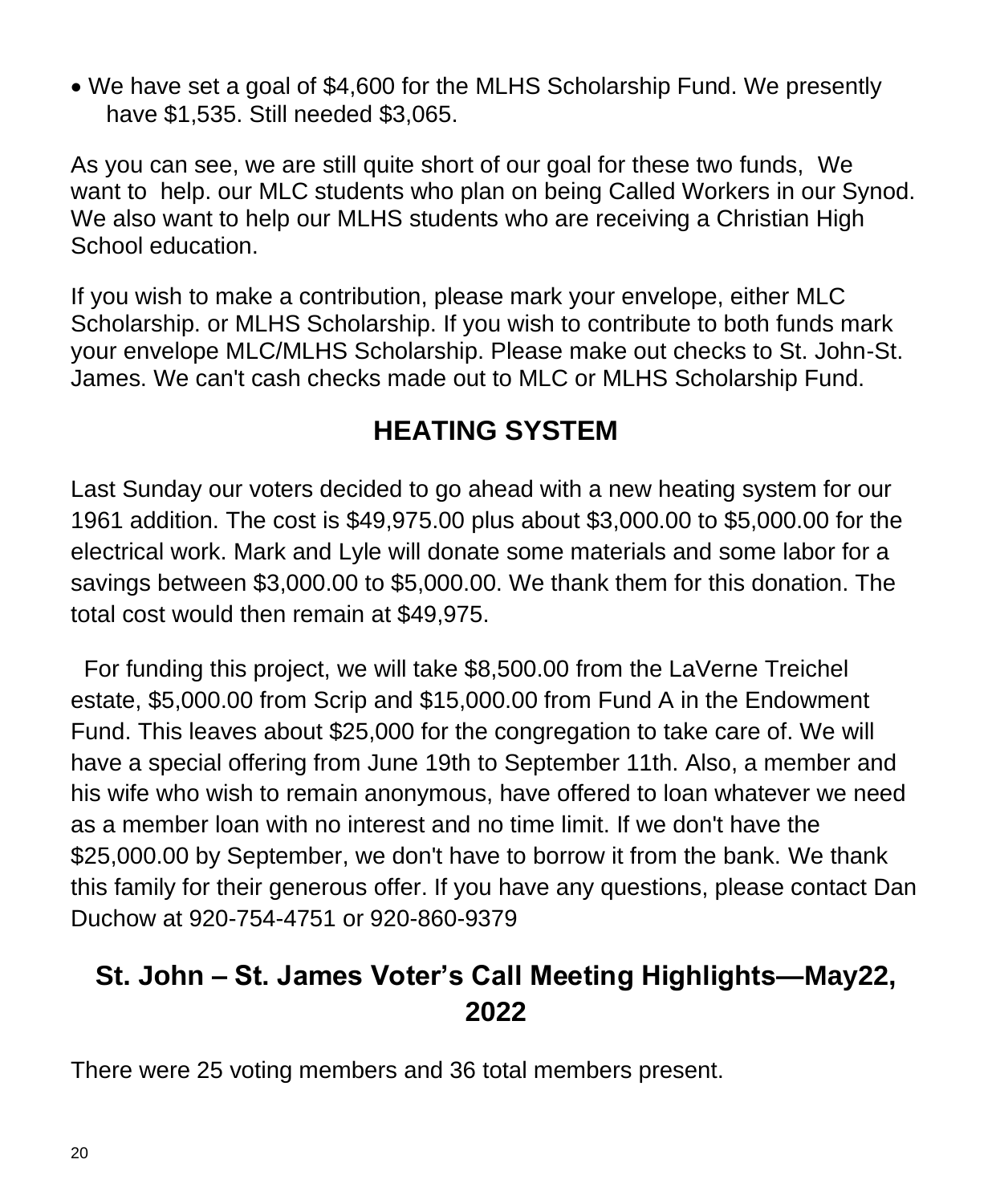• We have set a goal of \$4,600 for the MLHS Scholarship Fund. We presently have \$1,535. Still needed \$3,065.

As you can see, we are still quite short of our goal for these two funds, We want to help. our MLC students who plan on being Called Workers in our Synod. We also want to help our MLHS students who are receiving a Christian High School education.

If you wish to make a contribution, please mark your envelope, either MLC Scholarship. or MLHS Scholarship. If you wish to contribute to both funds mark your envelope MLC/MLHS Scholarship. Please make out checks to St. John-St. James. We can't cash checks made out to MLC or MLHS Scholarship Fund.

#### **HEATING SYSTEM**

Last Sunday our voters decided to go ahead with a new heating system for our 1961 addition. The cost is \$49,975.00 plus about \$3,000.00 to \$5,000.00 for the electrical work. Mark and Lyle will donate some materials and some labor for a savings between \$3,000.00 to \$5,000.00. We thank them for this donation. The total cost would then remain at \$49,975.

For funding this project, we will take \$8,500.00 from the LaVerne Treichel estate, \$5,000.00 from Scrip and \$15,000.00 from Fund A in the Endowment Fund. This leaves about \$25,000 for the congregation to take care of. We will have a special offering from June 19th to September 11th. Also, a member and his wife who wish to remain anonymous, have offered to loan whatever we need as a member loan with no interest and no time limit. If we don't have the \$25,000.00 by September, we don't have to borrow it from the bank. We thank this family for their generous offer. If you have any questions, please contact Dan Duchow at 920-754-4751 or 920-860-9379

#### **St. John – St. James Voter's Call Meeting Highlights—May22, 2022**

There were 25 voting members and 36 total members present.